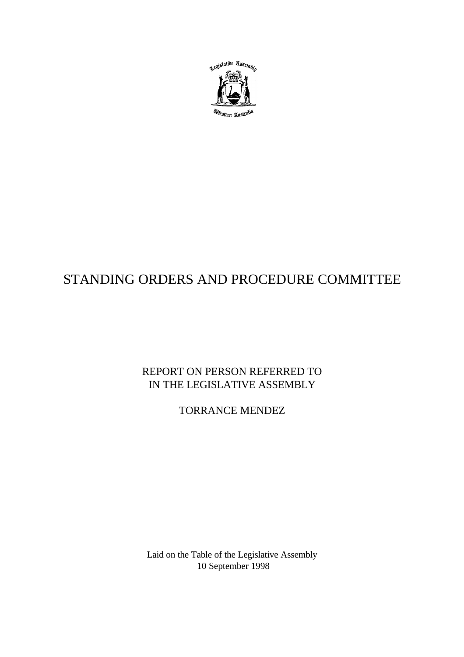

# STANDING ORDERS AND PROCEDURE COMMITTEE

 REPORT ON PERSON REFERRED TO IN THE LEGISLATIVE ASSEMBLY

TORRANCE MENDEZ

Laid on the Table of the Legislative Assembly 10 September 1998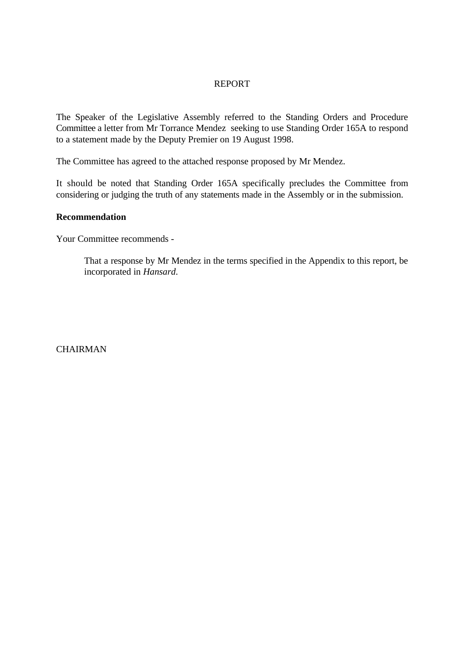## REPORT

The Speaker of the Legislative Assembly referred to the Standing Orders and Procedure Committee a letter from Mr Torrance Mendez seeking to use Standing Order 165A to respond to a statement made by the Deputy Premier on 19 August 1998.

The Committee has agreed to the attached response proposed by Mr Mendez.

It should be noted that Standing Order 165A specifically precludes the Committee from considering or judging the truth of any statements made in the Assembly or in the submission.

#### **Recommendation**

Your Committee recommends -

That a response by Mr Mendez in the terms specified in the Appendix to this report, be incorporated in *Hansard*.

**CHAIRMAN**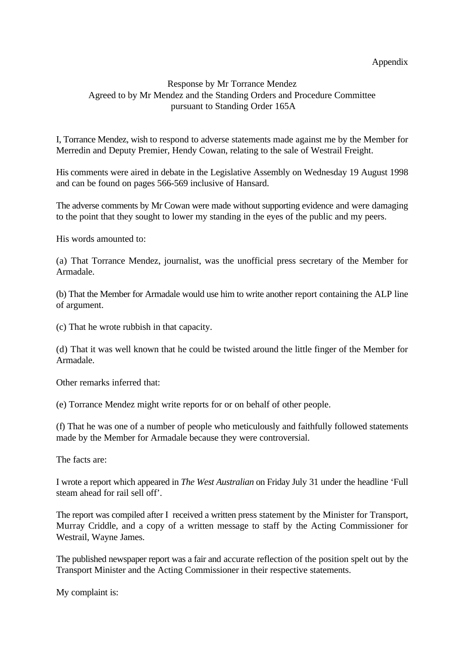### Appendix

## Response by Mr Torrance Mendez Agreed to by Mr Mendez and the Standing Orders and Procedure Committee pursuant to Standing Order 165A

I, Torrance Mendez, wish to respond to adverse statements made against me by the Member for Merredin and Deputy Premier, Hendy Cowan, relating to the sale of Westrail Freight.

His comments were aired in debate in the Legislative Assembly on Wednesday 19 August 1998 and can be found on pages 566-569 inclusive of Hansard.

The adverse comments by Mr Cowan were made without supporting evidence and were damaging to the point that they sought to lower my standing in the eyes of the public and my peers.

His words amounted to:

(a) That Torrance Mendez, journalist, was the unofficial press secretary of the Member for Armadale.

(b) That the Member for Armadale would use him to write another report containing the ALP line of argument.

(c) That he wrote rubbish in that capacity.

(d) That it was well known that he could be twisted around the little finger of the Member for Armadale.

Other remarks inferred that:

(e) Torrance Mendez might write reports for or on behalf of other people.

(f) That he was one of a number of people who meticulously and faithfully followed statements made by the Member for Armadale because they were controversial.

The facts are:

I wrote a report which appeared in *The West Australian* on Friday July 31 under the headline 'Full steam ahead for rail sell off'.

The report was compiled after I received a written press statement by the Minister for Transport, Murray Criddle, and a copy of a written message to staff by the Acting Commissioner for Westrail, Wayne James.

The published newspaper report was a fair and accurate reflection of the position spelt out by the Transport Minister and the Acting Commissioner in their respective statements.

My complaint is: